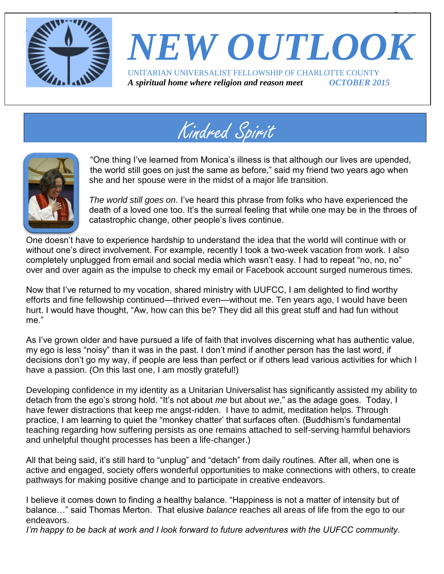

# *NEW OUTLOOK* UNITARIAN UNIVERSALIST FELLOWSHIP OF CHARLOTTE COUNTY

 $\overline{\phantom{a}}$ 

*A spiritual home where religion and reason meet OCTOBER 2015*





"One thing I've learned from Monica's illness is that although our lives are upended, the world still goes on just the same as before," said my friend two years ago when she and her spouse were in the midst of a major life transition.

*The world still goes on.* I've heard this phrase from folks who have experienced the death of a loved one too. It's the surreal feeling that while one may be in the throes of catastrophic change, other people's lives continue.

One doesn't have to experience hardship to understand the idea that the world will continue with or without one's direct involvement. For example, recently I took a two-week vacation from work. I also completely unplugged from email and social media which wasn't easy. I had to repeat "no, no, no" over and over again as the impulse to check my email or Facebook account surged numerous times.

Now that I've returned to my vocation, shared ministry with UUFCC, I am delighted to find worthy efforts and fine fellowship continued—thrived even—without me. Ten years ago, I would have been hurt. I would have thought, "Aw, how can this be? They did all this great stuff and had fun without me."

As I've grown older and have pursued a life of faith that involves discerning what has authentic value, my ego is less "noisy" than it was in the past. I don't mind if another person has the last word, if decisions don't go my way, if people are less than perfect or if others lead various activities for which I have a passion. (On this last one, I am mostly grateful!)

Developing confidence in my identity as a Unitarian Universalist has significantly assisted my ability to detach from the ego's strong hold. "It's not about *me* but about *we*," as the adage goes. Today, I have fewer distractions that keep me angst-ridden. I have to admit, meditation helps. Through practice, I am learning to quiet the "monkey chatter' that surfaces often. (Buddhism's fundamental teaching regarding how suffering persists as one remains attached to self-serving harmful behaviors and unhelpful thought processes has been a life-changer.)

All that being said, it's still hard to "unplug" and "detach" from daily routines. After all, when one is active and engaged, society offers wonderful opportunities to make connections with others, to create pathways for making positive change and to participate in creative endeavors.

I believe it comes down to finding a healthy balance. "Happiness is not a matter of intensity but of balance…" said Thomas Merton. That elusive *balance* reaches all areas of life from the ego to our endeavors.

*I'm happy to be back at work and I look forward to future adventures with the UUFCC community.*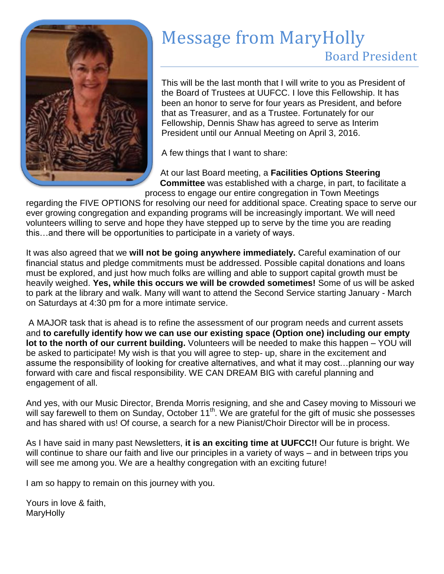

# Message from MaryHolly

### Board President

This will be the last month that I will write to you as President of the Board of Trustees at UUFCC. I love this Fellowship. It has been an honor to serve for four years as President, and before that as Treasurer, and as a Trustee. Fortunately for our Fellowship, Dennis Shaw has agreed to serve as Interim President until our Annual Meeting on April 3, 2016.

A few things that I want to share:

At our last Board meeting, a **Facilities Options Steering Committee** was established with a charge, in part, to facilitate a process to engage our entire congregation in Town Meetings

regarding the FIVE OPTIONS for resolving our need for additional space. Creating space to serve our ever growing congregation and expanding programs will be increasingly important. We will need volunteers willing to serve and hope they have stepped up to serve by the time you are reading this…and there will be opportunities to participate in a variety of ways.

It was also agreed that we **will not be going anywhere immediately.** Careful examination of our financial status and pledge commitments must be addressed. Possible capital donations and loans must be explored, and just how much folks are willing and able to support capital growth must be heavily weighed. **Yes, while this occurs we will be crowded sometimes!** Some of us will be asked to park at the library and walk. Many will want to attend the Second Service starting January - March on Saturdays at 4:30 pm for a more intimate service.

A MAJOR task that is ahead is to refine the assessment of our program needs and current assets and **to carefully identify how we can use our existing space (Option one) including our empty lot to the north of our current building.** Volunteers will be needed to make this happen – YOU will be asked to participate! My wish is that you will agree to step- up, share in the excitement and assume the responsibility of looking for creative alternatives, and what it may cost…planning our way forward with care and fiscal responsibility. WE CAN DREAM BIG with careful planning and engagement of all.

And yes, with our Music Director, Brenda Morris resigning, and she and Casey moving to Missouri we will say farewell to them on Sunday, October 11<sup>th</sup>. We are grateful for the gift of music she possesses and has shared with us! Of course, a search for a new Pianist/Choir Director will be in process.

As I have said in many past Newsletters, **it is an exciting time at UUFCC!!** Our future is bright. We will continue to share our faith and live our principles in a variety of ways – and in between trips you will see me among you. We are a healthy congregation with an exciting future!

I am so happy to remain on this journey with you.

Yours in love & faith, MaryHolly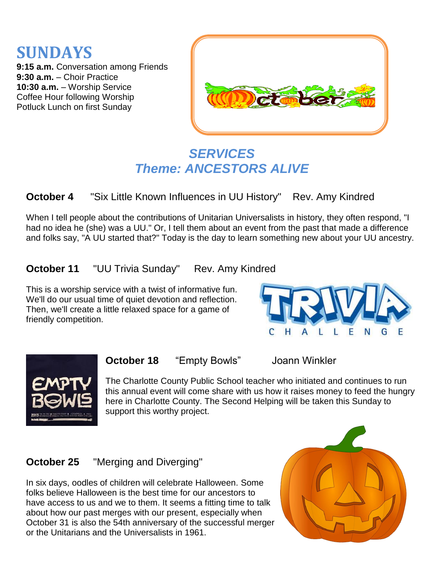



### *SERVICES Theme: ANCESTORS ALIVE*

**October 4** "Six Little Known Influences in UU History" Rev. Amy Kindred

When I tell people about the contributions of Unitarian Universalists in history, they often respond, "I had no idea he (she) was a UU." Or, I tell them about an event from the past that made a difference and folks say, "A UU started that?" Today is the day to learn something new about your UU ancestry.

**October 11** "UU Trivia Sunday" Rev. Amy Kindred

This is a worship service with a twist of informative fun. We'll do our usual time of quiet devotion and reflection. Then, we'll create a little relaxed space for a game of friendly competition.





**October 18** "Empty Bowls" Joann Winkler

The Charlotte County Public School teacher who initiated and continues to run this annual event will come share with us how it raises money to feed the hungry here in Charlotte County. The Second Helping will be taken this Sunday to support this worthy project.

### **October 25** "Merging and Diverging"

In six days, oodles of children will celebrate Halloween. Some folks believe Halloween is the best time for our ancestors to have access to us and we to them. It seems a fitting time to talk about how our past merges with our present, especially when October 31 is also the 54th anniversary of the successful merger or the Unitarians and the Universalists in 1961.

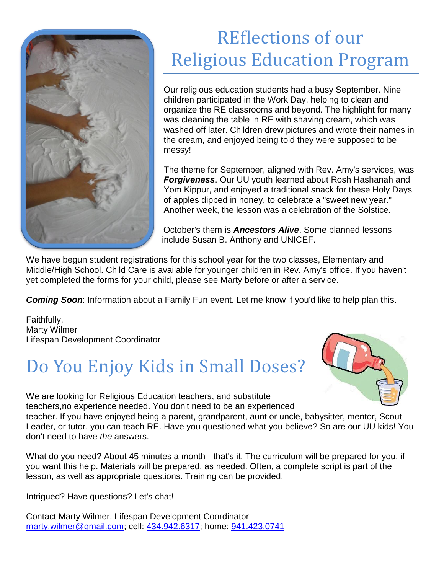

# REflections of our Religious Education Program

Our religious education students had a busy September. Nine children participated in the Work Day, helping to clean and organize the RE classrooms and beyond. The highlight for many was cleaning the table in RE with shaving cream, which was washed off later. Children drew pictures and wrote their names in the cream, and enjoyed being told they were supposed to be messy!

The theme for September, aligned with Rev. Amy's services, was *Forgiveness*. Our UU youth learned about Rosh Hashanah and Yom Kippur, and enjoyed a traditional snack for these Holy Days of apples dipped in honey, to celebrate a "sweet new year." Another week, the lesson was a celebration of the Solstice.

October's them is *Ancestors Alive*. Some planned lessons include Susan B. Anthony and UNICEF.

We have begun student registrations for this school year for the two classes, Elementary and Middle/High School. Child Care is available for younger children in Rev. Amy's office. If you haven't yet completed the forms for your child, please see Marty before or after a service.

**Coming Soon:** Information about a Family Fun event. Let me know if you'd like to help plan this.

Faithfully, Marty Wilmer Lifespan Development Coordinator

# Do You Enjoy Kids in Small Doses?



We are looking for Religious Education teachers, and substitute teachers,no experience needed. You don't need to be an experienced teacher. If you have enjoyed being a parent, grandparent, aunt or uncle, babysitter, mentor, Scout Leader, or tutor, you can teach RE. Have you questioned what you believe? So are our UU kids! You don't need to have *the* answers.

What do you need? About 45 minutes a month - that's it. The curriculum will be prepared for you, if you want this help. Materials will be prepared, as needed. Often, a complete script is part of the lesson, as well as appropriate questions. Training can be provided.

Intrigued? Have questions? Let's chat!

Contact Marty Wilmer, Lifespan Development Coordinator [marty.wilmer@gmail.com;](mailto:marty.wilmer@gmail.com) cell: [434.942.6317;](tel:434.942.6317) home: [941.423.0741](tel:941.423.0741)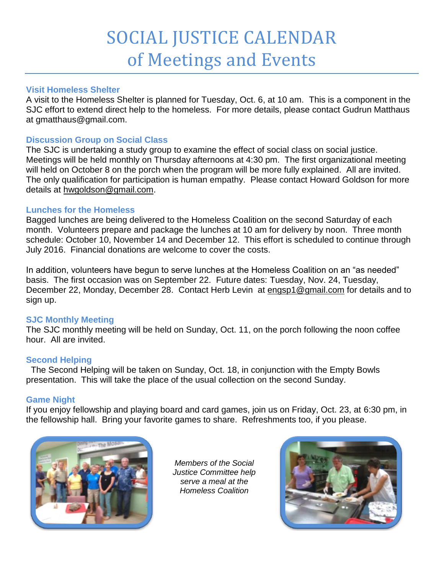### SOCIAL JUSTICE CALENDAR of Meetings and Events

#### **Visit Homeless Shelter**

A visit to the Homeless Shelter is planned for Tuesday, Oct. 6, at 10 am.This is a component in the SJC effort to extend direct help to the homeless. For more details, please contact Gudrun Matthaus at gmatthaus@gmail.com.

#### **Discussion Group on Social Class**

The SJC is undertaking a study group to examine the effect of social class on social justice. Meetings will be held monthly on Thursday afternoons at 4:30 pm. The first organizational meeting will held on October 8 on the porch when the program will be more fully explained. All are invited. The only qualification for participation is human empathy. Please contact Howard Goldson for more details at [hwgoldson@gmail.com.](mailto:hwgoldson@gmail.com)

#### **Lunches for the Homeless**

Bagged lunches are being delivered to the Homeless Coalition on the second Saturday of each month. Volunteers prepare and package the lunches at 10 am for delivery by noon. Three month schedule: October 10, November 14 and December 12. This effort is scheduled to continue through July 2016. Financial donations are welcome to cover the costs.

In addition, volunteers have begun to serve lunches at the Homeless Coalition on an "as needed" basis. The first occasion was on September 22. Future dates: Tuesday, Nov. 24, Tuesday, December 22, Monday, December 28. Contact Herb Levin at [engsp1@gmail.com](mailto:engsp1@gmail.com) for details and to sign up.

#### **SJC Monthly Meeting**

The SJC monthly meeting will be held on Sunday, Oct. 11, on the porch following the noon coffee hour. All are invited.

#### **Second Helping**

 The Second Helping will be taken on Sunday, Oct. 18, in conjunction with the Empty Bowls presentation. This will take the place of the usual collection on the second Sunday.

#### **Game Night**

If you enjoy fellowship and playing board and card games, join us on Friday, Oct. 23, at 6:30 pm, in the fellowship hall. Bring your favorite games to share. Refreshments too, if you please.



*Members of the Social Justice Committee help serve a meal at the Homeless Coalition*

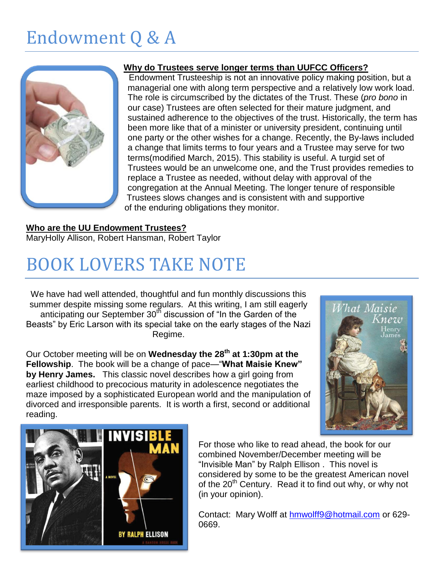# Endowment Q & A



#### **Why do Trustees serve longer terms than UUFCC Officers?**

Endowment Trusteeship is not an innovative policy making position, but a managerial one with along term perspective and a relatively low work load. The role is circumscribed by the dictates of the Trust. These (*pro bono* in our case) Trustees are often selected for their mature judgment, and sustained adherence to the objectives of the trust. Historically, the term has been more like that of a minister or university president, continuing until one party or the other wishes for a change. Recently, the By-laws included a change that limits terms to four years and a Trustee may serve for two terms(modified March, 2015). This stability is useful. A turgid set of Trustees would be an unwelcome one, and the Trust provides remedies to replace a Trustee as needed, without delay with approval of the congregation at the Annual Meeting. The longer tenure of responsible Trustees slows changes and is consistent with and supportive of the enduring obligations they monitor.

### **Who are the UU Endowment Trustees?**

MaryHolly Allison, Robert Hansman, Robert Taylor

## BOOK LOVERS TAKE NOTE

We have had well attended, thoughtful and fun monthly discussions this summer despite missing some regulars. At this writing, I am still eagerly anticipating our September 30<sup>th</sup> discussion of "In the Garden of the Beasts" by Eric Larson with its special take on the early stages of the Nazi Regime.

Our October meeting will be on **Wednesday the 28th at 1:30pm at the Fellowship**. The book will be a change of pace—"**What Maisie Knew" by Henry James.** This classic novel describes how a girl going from earliest childhood to precocious maturity in adolescence negotiates the maze imposed by a sophisticated European world and the manipulation of divorced and irresponsible parents. It is worth a first, second or additional reading.





For those who like to read ahead, the book for our combined November/December meeting will be "Invisible Man" by Ralph Ellison . This novel is considered by some to be the greatest American novel of the 20<sup>th</sup> Century. Read it to find out why, or why not (in your opinion).

Contact: Mary Wolff at [hmwolff9@hotmail.com](mailto:hmwolff9@hotmail.com) or 629- 0669.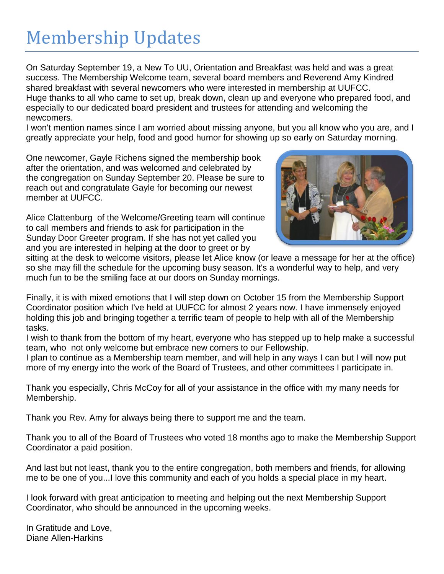### Membership Updates

On Saturday September 19, a New To UU, Orientation and Breakfast was held and was a great success. The Membership Welcome team, several board members and Reverend Amy Kindred shared breakfast with several newcomers who were interested in membership at UUFCC. Huge thanks to all who came to set up, break down, clean up and everyone who prepared food, and especially to our dedicated board president and trustees for attending and welcoming the newcomers.

I won't mention names since I am worried about missing anyone, but you all know who you are, and I greatly appreciate your help, food and good humor for showing up so early on Saturday morning.

One newcomer, Gayle Richens signed the membership book after the orientation, and was welcomed and celebrated by the congregation on Sunday September 20. Please be sure to reach out and congratulate Gayle for becoming our newest member at UUFCC.

Alice Clattenburg of the Welcome/Greeting team will continue to call members and friends to ask for participation in the Sunday Door Greeter program. If she has not yet called you and you are interested in helping at the door to greet or by



sitting at the desk to welcome visitors, please let Alice know (or leave a message for her at the office) so she may fill the schedule for the upcoming busy season. It's a wonderful way to help, and very much fun to be the smiling face at our doors on Sunday mornings.

Finally, it is with mixed emotions that I will step down on October 15 from the Membership Support Coordinator position which I've held at UUFCC for almost 2 years now. I have immensely enjoyed holding this job and bringing together a terrific team of people to help with all of the Membership tasks.

I wish to thank from the bottom of my heart, everyone who has stepped up to help make a successful team, who not only welcome but embrace new comers to our Fellowship.

I plan to continue as a Membership team member, and will help in any ways I can but I will now put more of my energy into the work of the Board of Trustees, and other committees I participate in.

Thank you especially, Chris McCoy for all of your assistance in the office with my many needs for Membership.

Thank you Rev. Amy for always being there to support me and the team.

Thank you to all of the Board of Trustees who voted 18 months ago to make the Membership Support Coordinator a paid position.

And last but not least, thank you to the entire congregation, both members and friends, for allowing me to be one of you...I love this community and each of you holds a special place in my heart.

I look forward with great anticipation to meeting and helping out the next Membership Support Coordinator, who should be announced in the upcoming weeks.

In Gratitude and Love, Diane Allen-Harkins